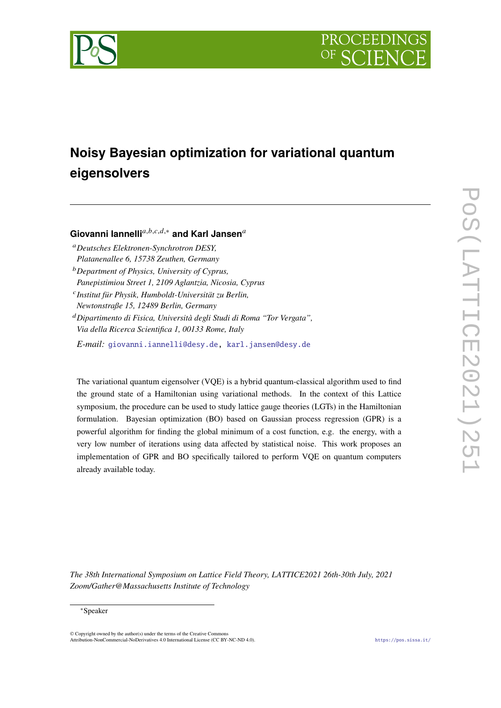



# **Noisy Bayesian optimization for variational quantum eigensolvers**

Giovanni lannelli<sup>a,b,c,d,∗</sup> and Karl Jansen<sup>a</sup>

- *Deutsches Elektronen-Synchrotron DESY, Platanenallee 6, 15738 Zeuthen, Germany*
- *Department of Physics, University of Cyprus, Panepistimiou Street 1, 2109 Aglantzia, Nicosia, Cyprus*
- *Institut für Physik, Humboldt-Universität zu Berlin, Newtonstraße 15, 12489 Berlin, Germany*
- *Dipartimento di Fisica, Università degli Studi di Roma "Tor Vergata", Via della Ricerca Scientifica 1, 00133 Rome, Italy*

*E-mail:* [giovanni.iannelli@desy.de,](mailto:giovanni.iannelli@desy.de) [karl.jansen@desy.de](mailto:karl.jansen@desy.de)

The variational quantum eigensolver (VQE) is a hybrid quantum-classical algorithm used to find the ground state of a Hamiltonian using variational methods. In the context of this Lattice symposium, the procedure can be used to study lattice gauge theories (LGTs) in the Hamiltonian formulation. Bayesian optimization (BO) based on Gaussian process regression (GPR) is a powerful algorithm for finding the global minimum of a cost function, e.g. the energy, with a very low number of iterations using data affected by statistical noise. This work proposes an implementation of GPR and BO specifically tailored to perform VQE on quantum computers already available today.

*The 38th International Symposium on Lattice Field Theory, LATTICE2021 26th-30th July, 2021 Zoom/Gather@Massachusetts Institute of Technology*

#### <sup>∗</sup>Speaker

 $\odot$  Copyright owned by the author(s) under the terms of the Creative Common Attribution-NonCommercial-NoDerivatives 4.0 International License (CC BY-NC-ND 4.0). <https://pos.sissa.it/>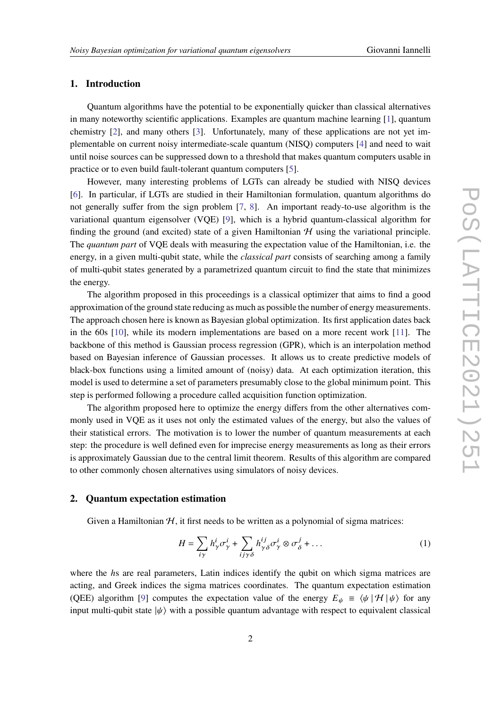# **1. Introduction**

Quantum algorithms have the potential to be exponentially quicker than classical alternatives in many noteworthy scientific applications. Examples are quantum machine learning [\[1\]](#page-10-0), quantum chemistry [\[2\]](#page-10-1), and many others [\[3\]](#page-10-2). Unfortunately, many of these applications are not yet implementable on current noisy intermediate-scale quantum (NISQ) computers [\[4\]](#page-10-3) and need to wait until noise sources can be suppressed down to a threshold that makes quantum computers usable in practice or to even build fault-tolerant quantum computers [\[5\]](#page-10-4).

However, many interesting problems of LGTs can already be studied with NISQ devices [\[6\]](#page-10-5). In particular, if LGTs are studied in their Hamiltonian formulation, quantum algorithms do not generally suffer from the sign problem [\[7,](#page-10-6) [8\]](#page-10-7). An important ready-to-use algorithm is the variational quantum eigensolver (VQE) [\[9\]](#page-10-8), which is a hybrid quantum-classical algorithm for finding the ground (and excited) state of a given Hamiltonian  $H$  using the variational principle. The *quantum part* of VQE deals with measuring the expectation value of the Hamiltonian, i.e. the energy, in a given multi-qubit state, while the *classical part* consists of searching among a family of multi-qubit states generated by a parametrized quantum circuit to find the state that minimizes the energy.

The algorithm proposed in this proceedings is a classical optimizer that aims to find a good approximation of the ground state reducing as much as possible the number of energy measurements. The approach chosen here is known as Bayesian global optimization. Its first application dates back in the 60s [\[10\]](#page-10-9), while its modern implementations are based on a more recent work [\[11\]](#page-10-10). The backbone of this method is Gaussian process regression (GPR), which is an interpolation method based on Bayesian inference of Gaussian processes. It allows us to create predictive models of black-box functions using a limited amount of (noisy) data. At each optimization iteration, this model is used to determine a set of parameters presumably close to the global minimum point. This step is performed following a procedure called acquisition function optimization.

The algorithm proposed here to optimize the energy differs from the other alternatives commonly used in VQE as it uses not only the estimated values of the energy, but also the values of their statistical errors. The motivation is to lower the number of quantum measurements at each step: the procedure is well defined even for imprecise energy measurements as long as their errors is approximately Gaussian due to the central limit theorem. Results of this algorithm are compared to other commonly chosen alternatives using simulators of noisy devices.

## **2. Quantum expectation estimation**

Given a Hamiltonian  $H$ , it first needs to be written as a polynomial of sigma matrices:

<span id="page-1-0"></span>
$$
H = \sum_{i\gamma} h_{\gamma}^{i} \sigma_{\gamma}^{i} + \sum_{i j \gamma \delta} h_{\gamma \delta}^{i j} \sigma_{\gamma}^{i} \otimes \sigma_{\delta}^{j} + \dots
$$
 (1)

where the hs are real parameters, Latin indices identify the qubit on which sigma matrices are acting, and Greek indices the sigma matrices coordinates. The quantum expectation estimation (QEE) algorithm [\[9\]](#page-10-8) computes the expectation value of the energy  $E_{\psi} = \langle \psi | \mathcal{H} | \psi \rangle$  for any input multi-qubit state  $|\psi\rangle$  with a possible quantum advantage with respect to equivalent classical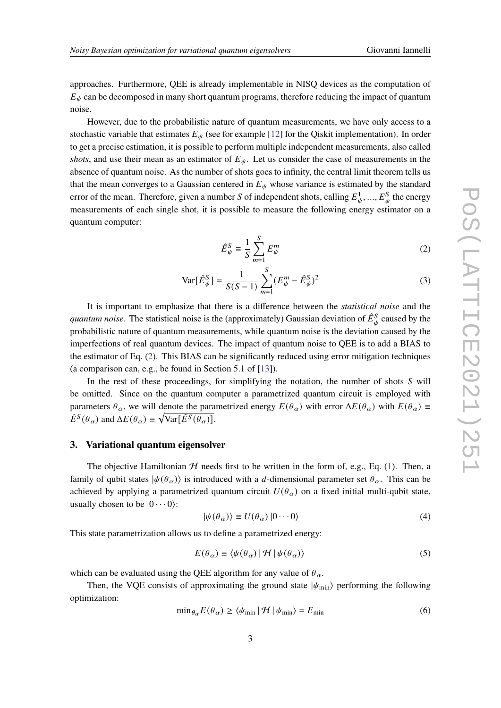approaches. Furthermore, QEE is already implementable in NISQ devices as the computation of  $E_{\psi}$  can be decomposed in many short quantum programs, therefore reducing the impact of quantum noise.

However, due to the probabilistic nature of quantum measurements, we have only access to a stochastic variable that estimates  $E_{\psi}$  (see for example [\[12\]](#page-10-11) for the Qiskit implementation). In order to get a precise estimation, it is possible to perform multiple independent measurements, also called *shots*, and use their mean as an estimator of  $E_{\psi}$ . Let us consider the case of measurements in the absence of quantum noise. As the number of shots goes to infinity, the central limit theorem tells us that the mean converges to a Gaussian centered in  $E_{\psi}$  whose variance is estimated by the standard error of the mean. Therefore, given a number S of independent shots, calling  $E_{\psi}^1, ..., E_{\psi}^S$  the energy measurements of each single shot, it is possible to measure the following energy estimator on a quantum computer:

<span id="page-2-1"></span><span id="page-2-0"></span>
$$
\hat{E}_{\psi}^{S} \equiv \frac{1}{S} \sum_{m=1}^{S} E_{\psi}^{m} \tag{2}
$$

$$
\text{Var}[\hat{E}_{\psi}^{S}] = \frac{1}{S(S-1)} \sum_{m=1}^{S} (E_{\psi}^{m} - \hat{E}_{\psi}^{S})^{2}
$$
(3)

It is important to emphasize that there is a difference between the *statistical noise* and the quantum noise. The statistical noise is the (approximately) Gaussian deviation of  $\hat{E}^S_\psi$  caused by the probabilistic nature of quantum measurements, while quantum noise is the deviation caused by the imperfections of real quantum devices. The impact of quantum noise to QEE is to add a BIAS to the estimator of Eq. [\(2\)](#page-2-0). This BIAS can be significantly reduced using error mitigation techniques (a comparison can, e.g., be found in Section 5.1 of [\[13\]](#page-10-12)).

In the rest of these proceedings, for simplifying the notation, the number of shots  $S$  will be omitted. Since on the quantum computer a parametrized quantum circuit is employed with parameters  $\theta_{\alpha}$ , we will denote the parametrized energy  $E(\theta_{\alpha})$  with error  $\Delta E(\theta_{\alpha})$  with  $E(\theta_{\alpha}) \equiv$  $\hat{E}^{S}(\theta_{\alpha})$  and  $\Delta E(\theta_{\alpha}) \equiv \sqrt{\text{Var}[\hat{E}^{S}(\theta_{\alpha})]}$ .

### **3. Variational quantum eigensolver**

The objective Hamiltonian  $H$  needs first to be written in the form of, e.g., Eq. [\(1\)](#page-1-0). Then, a family of qubit states  $|\psi(\theta_{\alpha})\rangle$  is introduced with a d-dimensional parameter set  $\theta_{\alpha}$ . This can be achieved by applying a parametrized quantum circuit  $U(\theta_{\alpha})$  on a fixed initial multi-qubit state, usually chosen to be  $|0 \cdots 0\rangle$ :

<span id="page-2-3"></span>
$$
|\psi(\theta_{\alpha})\rangle \equiv U(\theta_{\alpha})\,|0\cdots 0\rangle\tag{4}
$$

This state parametrization allows us to define a parametrized energy:

<span id="page-2-2"></span>
$$
E(\theta_{\alpha}) \equiv \langle \psi(\theta_{\alpha}) | \mathcal{H} | \psi(\theta_{\alpha}) \rangle \tag{5}
$$

which can be evaluated using the QEE algorithm for any value of  $\theta_{\alpha}$ .

Then, the VQE consists of approximating the ground state  $|\psi_{\text{min}}\rangle$  performing the following optimization:

$$
\min_{\theta_{\alpha}} E(\theta_{\alpha}) \ge \langle \psi_{\min} | \mathcal{H} | \psi_{\min} \rangle = E_{\min} \tag{6}
$$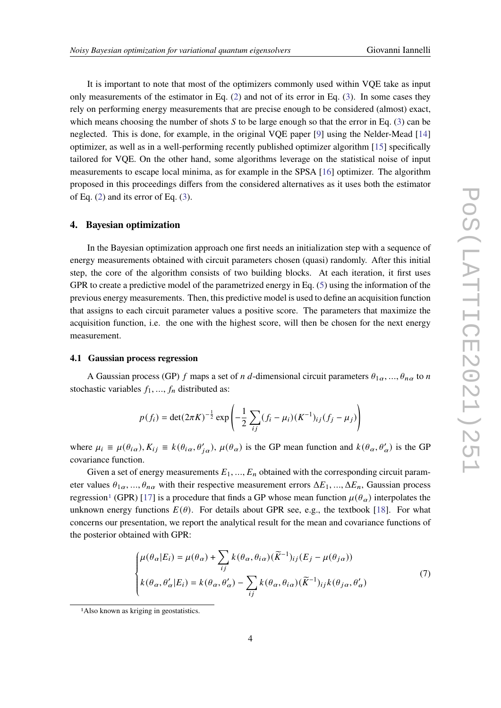It is important to note that most of the optimizers commonly used within VQE take as input only measurements of the estimator in Eq. [\(2\)](#page-2-0) and not of its error in Eq. [\(3\)](#page-2-1). In some cases they rely on performing energy measurements that are precise enough to be considered (almost) exact, which means choosing the number of shots  $S$  to be large enough so that the error in Eq. [\(3\)](#page-2-1) can be neglected. This is done, for example, in the original VQE paper [\[9\]](#page-10-8) using the Nelder-Mead [\[14\]](#page-10-13) optimizer, as well as in a well-performing recently published optimizer algorithm [\[15\]](#page-10-14) specifically tailored for VQE. On the other hand, some algorithms leverage on the statistical noise of input measurements to escape local minima, as for example in the SPSA [\[16\]](#page-11-0) optimizer. The algorithm proposed in this proceedings differs from the considered alternatives as it uses both the estimator of Eq. [\(2\)](#page-2-0) and its error of Eq. [\(3\)](#page-2-1).

# **4. Bayesian optimization**

In the Bayesian optimization approach one first needs an initialization step with a sequence of energy measurements obtained with circuit parameters chosen (quasi) randomly. After this initial step, the core of the algorithm consists of two building blocks. At each iteration, it first uses GPR to create a predictive model of the parametrized energy in Eq. [\(5\)](#page-2-2) using the information of the previous energy measurements. Then, this predictive model is used to define an acquisition function that assigns to each circuit parameter values a positive score. The parameters that maximize the acquisition function, i.e. the one with the highest score, will then be chosen for the next energy measurement.

#### **4.1 Gaussian process regression**

A Gaussian process (GP) f maps a set of *n d*-dimensional circuit parameters  $\theta_{1\alpha}, ..., \theta_{n\alpha}$  to *n* stochastic variables  $f_1, ..., f_n$  distributed as:

$$
p(f_i) = \det(2\pi K)^{-\frac{1}{2}} \exp\left(-\frac{1}{2}\sum_{ij} (f_i - \mu_i)(K^{-1})_{ij}(f_j - \mu_j)\right)
$$

where  $\mu_i \equiv \mu(\theta_i \alpha), K_{ij} \equiv k(\theta_i \alpha, \theta'_{i\alpha}), \mu(\theta_{\alpha})$  is the GP mean function and  $k(\theta_{\alpha}, \theta'_{\alpha})$  is the GP covariance function.

Given a set of energy measurements  $E_1, ..., E_n$  obtained with the corresponding circuit parameter values  $\theta_{1\alpha}$ , ...,  $\theta_{n\alpha}$  with their respective measurement errors  $\Delta E_1$ , ...,  $\Delta E_n$ , Gaussian process regression<sup>[1](#page-3-0)</sup> (GPR) [\[17\]](#page-11-1) is a procedure that finds a GP whose mean function  $\mu(\theta_{\alpha})$  interpolates the unknown energy functions  $E(\theta)$ . For details about GPR see, e.g., the textbook [\[18\]](#page-11-2). For what concerns our presentation, we report the analytical result for the mean and covariance functions of the posterior obtained with GPR:

<span id="page-3-1"></span>
$$
\begin{cases}\n\mu(\theta_{\alpha}|E_i) = \mu(\theta_{\alpha}) + \sum_{ij} k(\theta_{\alpha}, \theta_{i\alpha})(\widetilde{K}^{-1})_{ij}(E_j - \mu(\theta_{j\alpha})) \\
k(\theta_{\alpha}, \theta_{\alpha}'|E_i) = k(\theta_{\alpha}, \theta_{\alpha}') - \sum_{ij} k(\theta_{\alpha}, \theta_{i\alpha})(\widetilde{K}^{-1})_{ij} k(\theta_{j\alpha}, \theta_{\alpha}')\n\end{cases} (7)
$$

<span id="page-3-0"></span><sup>1</sup>Also known as kriging in geostatistics.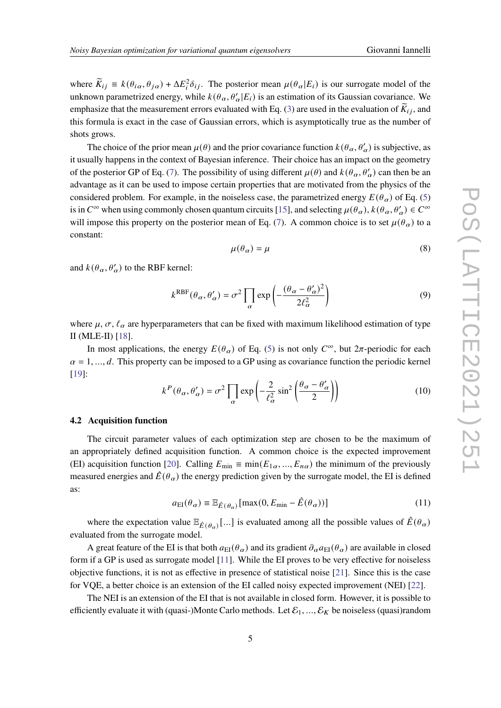where  $\widetilde{K}_{ij} = k(\theta_{i\alpha}, \theta_{j\alpha}) + \Delta E_i^2 \delta_{ij}$ . The posterior mean  $\mu(\theta_{\alpha}|E_i)$  is our surrogate model of the unknown parametrized energy, while  $k(\theta_{\alpha}, \theta_{\alpha}' | E_i)$  is an estimation of its Gaussian covariance. We emphasize that the measurement errors evaluated with Eq. [\(3\)](#page-2-1) are used in the evaluation of  $\overline{K}_{ij}$ , and this formula is exact in the case of Gaussian errors, which is asymptotically true as the number of shots grows.

The choice of the prior mean  $\mu(\theta)$  and the prior covariance function  $k(\theta_\alpha, \theta'_\alpha)$  is subjective, as it usually happens in the context of Bayesian inference. Their choice has an impact on the geometry of the posterior GP of Eq. [\(7\)](#page-3-1). The possibility of using different  $\mu(\theta)$  and  $k(\theta_\alpha, \theta'_\alpha)$  can then be an advantage as it can be used to impose certain properties that are motivated from the physics of the considered problem. For example, in the noiseless case, the parametrized energy  $E(\theta_{\alpha})$  of Eq. [\(5\)](#page-2-2) is in  $C^{\infty}$  when using commonly chosen quantum circuits [\[15\]](#page-10-14), and selecting  $\mu(\theta_{\alpha})$ ,  $k(\theta_{\alpha}, \theta'_{\alpha}) \in C^{\infty}$ will impose this property on the posterior mean of Eq. [\(7\)](#page-3-1). A common choice is to set  $\mu(\theta_{\alpha})$  to a constant:

<span id="page-4-0"></span>
$$
\mu(\theta_{\alpha}) = \mu \tag{8}
$$

and  $k(\theta_{\alpha}, \theta'_{\alpha})$  to the RBF kernel:

<span id="page-4-1"></span>
$$
k^{\text{RBF}}(\theta_{\alpha}, \theta'_{\alpha}) = \sigma^2 \prod_{\alpha} \exp\left(-\frac{(\theta_{\alpha} - \theta'_{\alpha})^2}{2\ell_{\alpha}^2}\right)
$$
(9)

where  $\mu$ ,  $\sigma$ ,  $\ell_{\alpha}$  are hyperparameters that can be fixed with maximum likelihood estimation of type II (MLE-II) [\[18\]](#page-11-2).

In most applications, the energy  $E(\theta_{\alpha})$  of Eq. [\(5\)](#page-2-2) is not only  $C^{\infty}$ , but  $2\pi$ -periodic for each  $\alpha = 1, \dots, d$ . This property can be imposed to a GP using as covariance function the periodic kernel [\[19\]](#page-11-3):

<span id="page-4-2"></span>
$$
k^{P}(\theta_{\alpha}, \theta'_{\alpha}) = \sigma^{2} \prod_{\alpha} \exp\left(-\frac{2}{\ell_{\alpha}^{2}} \sin^{2}\left(\frac{\theta_{\alpha} - \theta'_{\alpha}}{2}\right)\right)
$$
(10)

#### **4.2 Acquisition function**

The circuit parameter values of each optimization step are chosen to be the maximum of an appropriately defined acquisition function. A common choice is the expected improvement (EI) acquisition function [\[20\]](#page-11-4). Calling  $E_{\min} \equiv \min(E_{1\alpha}, ..., E_{n\alpha})$  the minimum of the previously measured energies and  $\hat{E}(\theta_{\alpha})$  the energy prediction given by the surrogate model, the EI is defined as:

$$
a_{\rm EI}(\theta_\alpha) \equiv \mathbb{E}_{\hat{E}(\theta_\alpha)}[\max(0, E_{\rm min} - \hat{E}(\theta_\alpha))]
$$
(11)

where the expectation value  $\mathbb{E}_{\hat{E}(\theta_a)}[...]$  is evaluated among all the possible values of  $\hat{E}(\theta_a)$ evaluated from the surrogate model.

A great feature of the EI is that both  $a_{\text{EI}}(\theta_{\alpha})$  and its gradient  $\partial_{\alpha}a_{\text{EI}}(\theta_{\alpha})$  are available in closed form if a GP is used as surrogate model [\[11\]](#page-10-10). While the EI proves to be very effective for noiseless objective functions, it is not as effective in presence of statistical noise [\[21\]](#page-11-5). Since this is the case for VQE, a better choice is an extension of the EI called noisy expected improvement (NEI) [\[22\]](#page-11-6).

The NEI is an extension of the EI that is not available in closed form. However, it is possible to efficiently evaluate it with (quasi-)Monte Carlo methods. Let  $\mathcal{E}_1, ..., \mathcal{E}_K$  be noiseless (quasi)random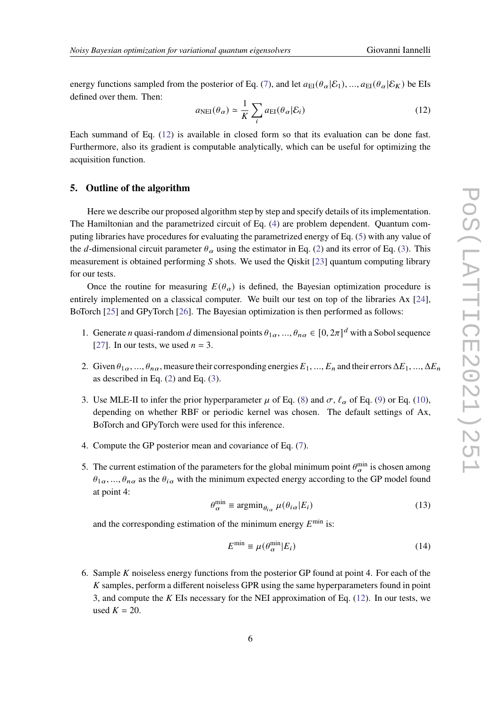energy functions sampled from the posterior of Eq. [\(7\)](#page-3-1), and let  $a_{\text{EI}}(\theta_{\alpha}|\mathcal{E}_1), ..., a_{\text{EI}}(\theta_{\alpha}|\mathcal{E}_K)$  be EIs defined over them. Then:

<span id="page-5-0"></span>
$$
a_{\text{NEI}}(\theta_{\alpha}) \simeq \frac{1}{K} \sum_{i} a_{\text{EI}}(\theta_{\alpha} | \mathcal{E}_{i})
$$
\n(12)

Each summand of Eq. [\(12\)](#page-5-0) is available in closed form so that its evaluation can be done fast. Furthermore, also its gradient is computable analytically, which can be useful for optimizing the acquisition function.

### **5. Outline of the algorithm**

Here we describe our proposed algorithm step by step and specify details of its implementation. The Hamiltonian and the parametrized circuit of Eq. [\(4\)](#page-2-3) are problem dependent. Quantum computing libraries have procedures for evaluating the parametrized energy of Eq. [\(5\)](#page-2-2) with any value of the d-dimensional circuit parameter  $\theta_{\alpha}$  using the estimator in Eq. [\(2\)](#page-2-0) and its error of Eq. [\(3\)](#page-2-1). This measurement is obtained performing  $S$  shots. We used the Qiskit [\[23\]](#page-11-7) quantum computing library for our tests.

Once the routine for measuring  $E(\theta_{\alpha})$  is defined, the Bayesian optimization procedure is entirely implemented on a classical computer. We built our test on top of the libraries Ax [\[24\]](#page-11-8), BoTorch [\[25\]](#page-11-9) and GPyTorch [\[26\]](#page-11-10). The Bayesian optimization is then performed as follows:

- 1. Generate *n* quasi-random *d* dimensional points  $\theta_{1\alpha}, ..., \theta_{n\alpha} \in [0, 2\pi]^d$  with a Sobol sequence [\[27\]](#page-11-11). In our tests, we used  $n = 3$ .
- 2. Given  $\theta_{1\alpha}, ..., \theta_{n\alpha}$ , measure their corresponding energies  $E_1, ..., E_n$  and their errors  $\Delta E_1, ..., \Delta E_n$ as described in Eq.  $(2)$  and Eq.  $(3)$ .
- 3. Use MLE-II to infer the prior hyperparameter  $\mu$  of Eq. [\(8\)](#page-4-0) and  $\sigma$ ,  $\ell_{\alpha}$  of Eq. [\(9\)](#page-4-1) or Eq. [\(10\)](#page-4-2), depending on whether RBF or periodic kernel was chosen. The default settings of Ax, BoTorch and GPyTorch were used for this inference.
- 4. Compute the GP posterior mean and covariance of Eq. [\(7\)](#page-3-1).
- 5. The current estimation of the parameters for the global minimum point  $\theta_{\alpha}^{\min}$  is chosen among  $\theta_{1\alpha}$ , ...,  $\theta_{n\alpha}$  as the  $\theta_{i\alpha}$  with the minimum expected energy according to the GP model found at point 4:

<span id="page-5-1"></span>
$$
\theta_{\alpha}^{\min} \equiv \operatorname{argmin}_{\theta_{i\alpha}} \mu(\theta_{i\alpha}|E_i)
$$
\n(13)

and the corresponding estimation of the minimum energy  $E^{\min}$  is:

$$
E^{\min} \equiv \mu(\theta_{\alpha}^{\min}|E_i) \tag{14}
$$

6. Sample  $K$  noiseless energy functions from the posterior GP found at point 4. For each of the  $K$  samples, perform a different noiseless GPR using the same hyperparameters found in point 3, and compute the  $K$  EIs necessary for the NEI approximation of Eq. [\(12\)](#page-5-0). In our tests, we used  $K = 20$ .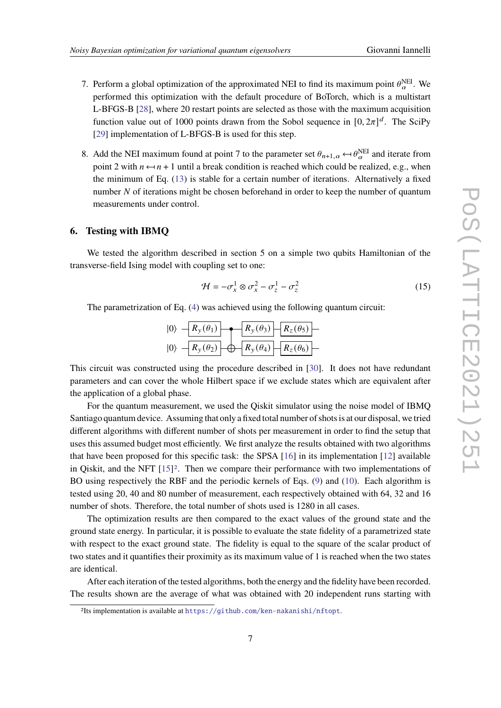- 7. Perform a global optimization of the approximated NEI to find its maximum point  $\theta_{\alpha}^{NEL}$ . We performed this optimization with the default procedure of BoTorch, which is a multistart L-BFGS-B [\[28\]](#page-11-12), where 20 restart points are selected as those with the maximum acquisition function value out of 1000 points drawn from the Sobol sequence in  $[0, 2\pi]^d$ . The SciPy [\[29\]](#page-11-13) implementation of L-BFGS-B is used for this step.
- 8. Add the NEI maximum found at point 7 to the parameter set  $\theta_{n+1,\alpha} \leftarrow \theta_{\alpha}^{NEI}$  and iterate from point 2 with  $n \leftarrow n + 1$  until a break condition is reached which could be realized, e.g., when the minimum of Eq. [\(13\)](#page-5-1) is stable for a certain number of iterations. Alternatively a fixed number  $N$  of iterations might be chosen beforehand in order to keep the number of quantum measurements under control.

#### **6. Testing with IBMQ**

We tested the algorithm described in section 5 on a simple two qubits Hamiltonian of the transverse-field Ising model with coupling set to one:

$$
\mathcal{H} = -\sigma_x^1 \otimes \sigma_x^2 - \sigma_z^1 - \sigma_z^2 \tag{15}
$$

The parametrization of Eq. [\(4\)](#page-2-3) was achieved using the following quantum circuit:

|  |  | $ 0\rangle - R_y(\theta_1)$ $\rightarrow R_y(\theta_3) - R_z(\theta_5)$ |
|--|--|-------------------------------------------------------------------------|
|  |  | $ 0\rangle - R_y(\theta_2)$ $\rightarrow R_y(\theta_4) - R_z(\theta_6)$ |

This circuit was constructed using the procedure described in [\[30\]](#page-11-14). It does not have redundant parameters and can cover the whole Hilbert space if we exclude states which are equivalent after the application of a global phase.

For the quantum measurement, we used the Qiskit simulator using the noise model of IBMQ Santiago quantum device. Assuming that only a fixed total number of shots is at our disposal, we tried different algorithms with different number of shots per measurement in order to find the setup that uses this assumed budget most efficiently. We first analyze the results obtained with two algorithms that have been proposed for this specific task: the SPSA [\[16\]](#page-11-0) in its implementation [\[12\]](#page-10-11) available in Qiskit, and the NFT [\[15\]](#page-10-14)[2](#page-6-0). Then we compare their performance with two implementations of BO using respectively the RBF and the periodic kernels of Eqs. [\(9\)](#page-4-1) and [\(10\)](#page-4-2). Each algorithm is tested using 20, 40 and 80 number of measurement, each respectively obtained with 64, 32 and 16 number of shots. Therefore, the total number of shots used is 1280 in all cases.

The optimization results are then compared to the exact values of the ground state and the ground state energy. In particular, it is possible to evaluate the state fidelity of a parametrized state with respect to the exact ground state. The fidelity is equal to the square of the scalar product of two states and it quantifies their proximity as its maximum value of 1 is reached when the two states are identical.

After each iteration of the tested algorithms, both the energy and the fidelity have been recorded. The results shown are the average of what was obtained with 20 independent runs starting with

<span id="page-6-0"></span><sup>2</sup>Its implementation is available at <https://github.com/ken-nakanishi/nftopt>.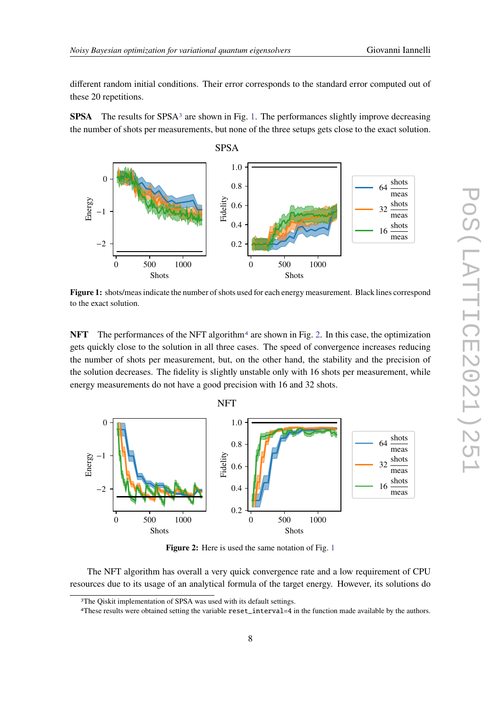different random initial conditions. Their error corresponds to the standard error computed out of these 20 repetitions.

**SPSA** The results for SPSA<sup>[3](#page-7-0)</sup> are shown in Fig. [1.](#page-7-1) The performances slightly improve decreasing the number of shots per measurements, but none of the three setups gets close to the exact solution.

<span id="page-7-1"></span>

**Figure 1:** shots/meas indicate the number of shots used for each energy measurement. Black lines correspond to the exact solution.

**NFT** The performances of the NFT algorithm<sup>[4](#page-7-2)</sup> are shown in Fig. [2.](#page-7-3) In this case, the optimization gets quickly close to the solution in all three cases. The speed of convergence increases reducing the number of shots per measurement, but, on the other hand, the stability and the precision of the solution decreases. The fidelity is slightly unstable only with 16 shots per measurement, while energy measurements do not have a good precision with 16 and 32 shots.

<span id="page-7-3"></span>

**Figure 2:** Here is used the same notation of Fig. [1](#page-7-1)

The NFT algorithm has overall a very quick convergence rate and a low requirement of CPU resources due to its usage of an analytical formula of the target energy. However, its solutions do

<span id="page-7-0"></span><sup>&</sup>lt;sup>3</sup>The Qiskit implementation of SPSA was used with its default settings.

<span id="page-7-2"></span><sup>4</sup>These results were obtained setting the variable reset\_interval=4 in the function made available by the authors.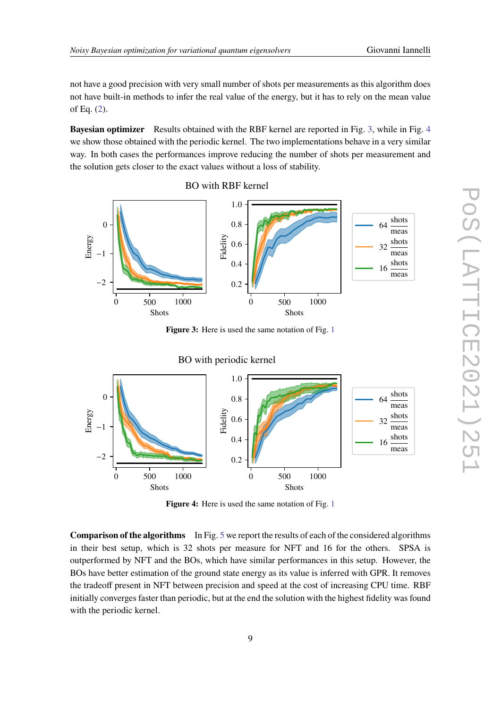not have a good precision with very small number of shots per measurements as this algorithm does not have built-in methods to infer the real value of the energy, but it has to rely on the mean value of Eq. [\(2\)](#page-2-0).

**Bayesian optimizer** Results obtained with the RBF kernel are reported in Fig. [3,](#page-8-0) while in Fig. [4](#page-8-1) we show those obtained with the periodic kernel. The two implementations behave in a very similar way. In both cases the performances improve reducing the number of shots per measurement and the solution gets closer to the exact values without a loss of stability.

<span id="page-8-0"></span>

**Figure 3:** Here is used the same notation of Fig. [1](#page-7-1)

<span id="page-8-1"></span>

**Figure 4:** Here is used the same notation of Fig. [1](#page-7-1)

**Comparison of the algorithms** In Fig. [5](#page-9-0) we report the results of each of the considered algorithms in their best setup, which is 32 shots per measure for NFT and 16 for the others. SPSA is outperformed by NFT and the BOs, which have similar performances in this setup. However, the BOs have better estimation of the ground state energy as its value is inferred with GPR. It removes the tradeoff present in NFT between precision and speed at the cost of increasing CPU time. RBF initially converges faster than periodic, but at the end the solution with the highest fidelity was found with the periodic kernel.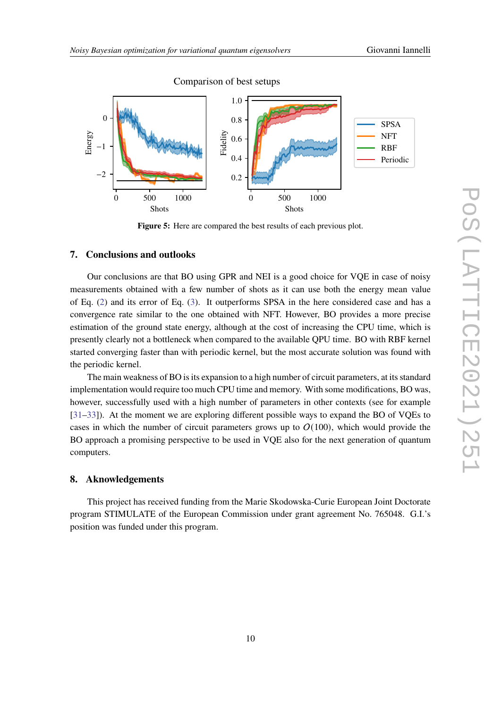<span id="page-9-0"></span>

Comparison of best setups

**Figure 5:** Here are compared the best results of each previous plot.

# **7. Conclusions and outlooks**

Our conclusions are that BO using GPR and NEI is a good choice for VQE in case of noisy measurements obtained with a few number of shots as it can use both the energy mean value of Eq. [\(2\)](#page-2-0) and its error of Eq. [\(3\)](#page-2-1). It outperforms SPSA in the here considered case and has a convergence rate similar to the one obtained with NFT. However, BO provides a more precise estimation of the ground state energy, although at the cost of increasing the CPU time, which is presently clearly not a bottleneck when compared to the available QPU time. BO with RBF kernel started converging faster than with periodic kernel, but the most accurate solution was found with the periodic kernel.

The main weakness of BO is its expansion to a high number of circuit parameters, at its standard implementation would require too much CPU time and memory. With some modifications, BO was, however, successfully used with a high number of parameters in other contexts (see for example [\[31](#page-12-0)[–33\]](#page-12-1)). At the moment we are exploring different possible ways to expand the BO of VQEs to cases in which the number of circuit parameters grows up to  $O(100)$ , which would provide the BO approach a promising perspective to be used in VQE also for the next generation of quantum computers.

# **8. Aknowledgements**

This project has received funding from the Marie Skodowska-Curie European Joint Doctorate program STIMULATE of the European Commission under grant agreement No. 765048. G.I.'s position was funded under this program.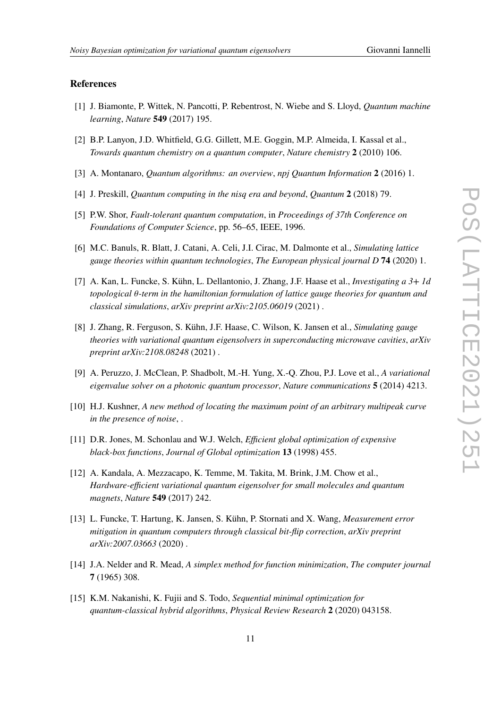### **References**

- <span id="page-10-0"></span>[1] J. Biamonte, P. Wittek, N. Pancotti, P. Rebentrost, N. Wiebe and S. Lloyd, *Quantum machine learning*, *Nature* **549** (2017) 195.
- <span id="page-10-1"></span>[2] B.P. Lanyon, J.D. Whitfield, G.G. Gillett, M.E. Goggin, M.P. Almeida, I. Kassal et al., *Towards quantum chemistry on a quantum computer*, *Nature chemistry* **2** (2010) 106.
- <span id="page-10-2"></span>[3] A. Montanaro, *Quantum algorithms: an overview*, *npj Quantum Information* **2** (2016) 1.
- <span id="page-10-3"></span>[4] J. Preskill, *Quantum computing in the nisq era and beyond*, *Quantum* **2** (2018) 79.
- <span id="page-10-4"></span>[5] P.W. Shor, *Fault-tolerant quantum computation*, in *Proceedings of 37th Conference on Foundations of Computer Science*, pp. 56–65, IEEE, 1996.
- <span id="page-10-5"></span>[6] M.C. Banuls, R. Blatt, J. Catani, A. Celi, J.I. Cirac, M. Dalmonte et al., *Simulating lattice gauge theories within quantum technologies*, *The European physical journal D* **74** (2020) 1.
- <span id="page-10-6"></span>[7] A. Kan, L. Funcke, S. Kühn, L. Dellantonio, J. Zhang, J.F. Haase et al., *Investigating a 3+ 1d topological -term in the hamiltonian formulation of lattice gauge theories for quantum and classical simulations*, *arXiv preprint arXiv:2105.06019* (2021) .
- <span id="page-10-7"></span>[8] J. Zhang, R. Ferguson, S. Kühn, J.F. Haase, C. Wilson, K. Jansen et al., *Simulating gauge theories with variational quantum eigensolvers in superconducting microwave cavities*, *arXiv preprint arXiv:2108.08248* (2021) .
- <span id="page-10-8"></span>[9] A. Peruzzo, J. McClean, P. Shadbolt, M.-H. Yung, X.-Q. Zhou, P.J. Love et al., *A variational eigenvalue solver on a photonic quantum processor*, *Nature communications* **5** (2014) 4213.
- <span id="page-10-9"></span>[10] H.J. Kushner, *A new method of locating the maximum point of an arbitrary multipeak curve in the presence of noise*, .
- <span id="page-10-10"></span>[11] D.R. Jones, M. Schonlau and W.J. Welch, *Efficient global optimization of expensive black-box functions*, *Journal of Global optimization* **13** (1998) 455.
- <span id="page-10-11"></span>[12] A. Kandala, A. Mezzacapo, K. Temme, M. Takita, M. Brink, J.M. Chow et al., *Hardware-efficient variational quantum eigensolver for small molecules and quantum magnets*, *Nature* **549** (2017) 242.
- <span id="page-10-12"></span>[13] L. Funcke, T. Hartung, K. Jansen, S. Kühn, P. Stornati and X. Wang, *Measurement error mitigation in quantum computers through classical bit-flip correction*, *arXiv preprint arXiv:2007.03663* (2020) .
- <span id="page-10-13"></span>[14] J.A. Nelder and R. Mead, *A simplex method for function minimization*, *The computer journal* **7** (1965) 308.
- <span id="page-10-14"></span>[15] K.M. Nakanishi, K. Fujii and S. Todo, *Sequential minimal optimization for quantum-classical hybrid algorithms*, *Physical Review Research* **2** (2020) 043158.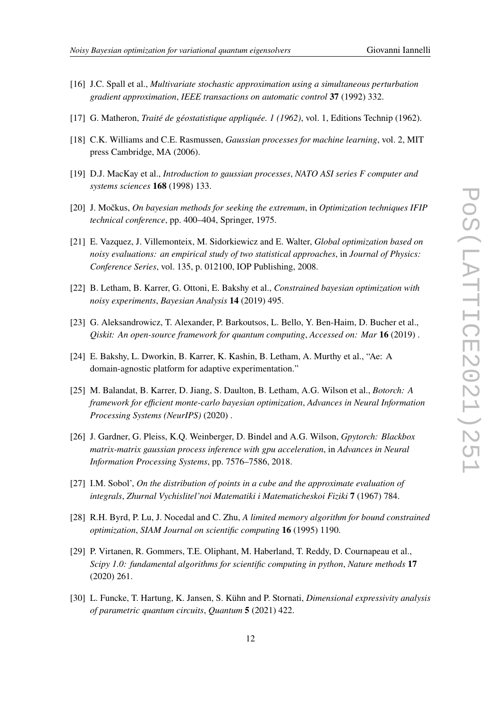- 
- <span id="page-11-0"></span>[16] J.C. Spall et al., *Multivariate stochastic approximation using a simultaneous perturbation gradient approximation*, *IEEE transactions on automatic control* **37** (1992) 332.
- <span id="page-11-1"></span>[17] G. Matheron, *Traité de géostatistique appliquée. 1 (1962)*, vol. 1, Editions Technip (1962).
- <span id="page-11-2"></span>[18] C.K. Williams and C.E. Rasmussen, *Gaussian processes for machine learning*, vol. 2, MIT press Cambridge, MA (2006).
- <span id="page-11-3"></span>[19] D.J. MacKay et al., *Introduction to gaussian processes*, *NATO ASI series F computer and systems sciences* **168** (1998) 133.
- <span id="page-11-4"></span>[20] J. Močkus, *On bayesian methods for seeking the extremum*, in *Optimization techniques IFIP technical conference*, pp. 400–404, Springer, 1975.
- <span id="page-11-5"></span>[21] E. Vazquez, J. Villemonteix, M. Sidorkiewicz and E. Walter, *Global optimization based on noisy evaluations: an empirical study of two statistical approaches*, in *Journal of Physics: Conference Series*, vol. 135, p. 012100, IOP Publishing, 2008.
- <span id="page-11-6"></span>[22] B. Letham, B. Karrer, G. Ottoni, E. Bakshy et al., *Constrained bayesian optimization with noisy experiments*, *Bayesian Analysis* **14** (2019) 495.
- <span id="page-11-7"></span>[23] G. Aleksandrowicz, T. Alexander, P. Barkoutsos, L. Bello, Y. Ben-Haim, D. Bucher et al., *Qiskit: An open-source framework for quantum computing*, *Accessed on: Mar* **16** (2019) .
- <span id="page-11-8"></span>[24] E. Bakshy, L. Dworkin, B. Karrer, K. Kashin, B. Letham, A. Murthy et al., "Ae: A domain-agnostic platform for adaptive experimentation."
- <span id="page-11-9"></span>[25] M. Balandat, B. Karrer, D. Jiang, S. Daulton, B. Letham, A.G. Wilson et al., *Botorch: A framework for efficient monte-carlo bayesian optimization*, *Advances in Neural Information Processing Systems (NeurIPS)* (2020) .
- <span id="page-11-10"></span>[26] J. Gardner, G. Pleiss, K.Q. Weinberger, D. Bindel and A.G. Wilson, *Gpytorch: Blackbox matrix-matrix gaussian process inference with gpu acceleration*, in *Advances in Neural Information Processing Systems*, pp. 7576–7586, 2018.
- <span id="page-11-11"></span>[27] I.M. Sobol', *On the distribution of points in a cube and the approximate evaluation of integrals*, *Zhurnal Vychislitel'noi Matematiki i Matematicheskoi Fiziki* **7** (1967) 784.
- <span id="page-11-12"></span>[28] R.H. Byrd, P. Lu, J. Nocedal and C. Zhu, *A limited memory algorithm for bound constrained optimization*, *SIAM Journal on scientific computing* **16** (1995) 1190.
- <span id="page-11-13"></span>[29] P. Virtanen, R. Gommers, T.E. Oliphant, M. Haberland, T. Reddy, D. Cournapeau et al., *Scipy 1.0: fundamental algorithms for scientific computing in python*, *Nature methods* **17** (2020) 261.
- <span id="page-11-14"></span>[30] L. Funcke, T. Hartung, K. Jansen, S. Kühn and P. Stornati, *Dimensional expressivity analysis of parametric quantum circuits*, *Quantum* **5** (2021) 422.